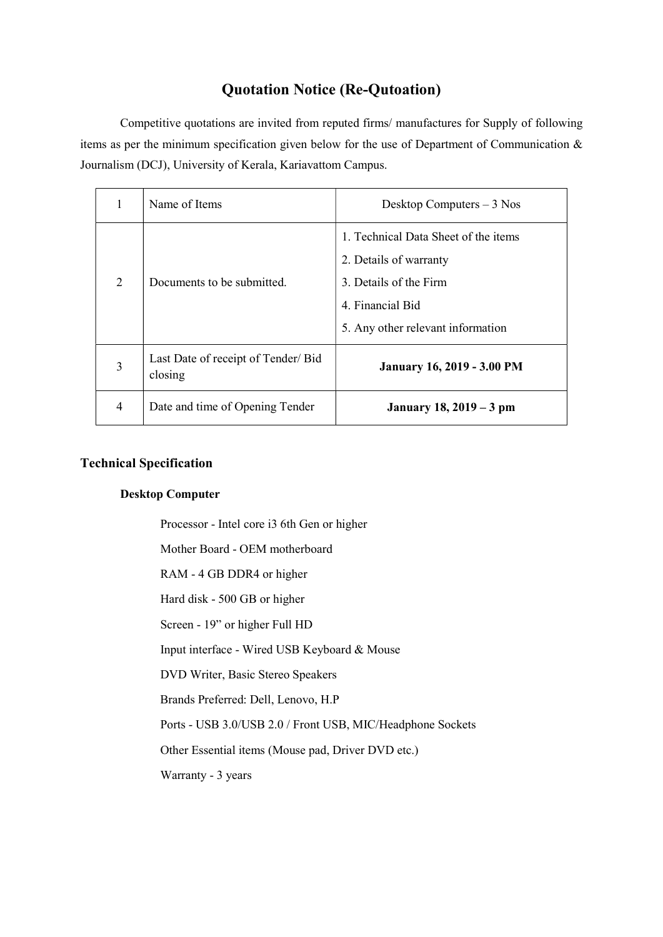## Quotation Notice (Re-Qutoation)

Competitive quotations are invited from reputed firms/ manufactures for Supply of following items as per the minimum specification given below for the use of Department of Communication & Journalism (DCJ), University of Kerala, Kariavattom Campus.

|   | Name of Items                                  | Desktop Computers $-3$ Nos                                     |
|---|------------------------------------------------|----------------------------------------------------------------|
| 2 | Documents to be submitted.                     | 1. Technical Data Sheet of the items<br>2. Details of warranty |
|   |                                                | 3. Details of the Firm                                         |
|   |                                                |                                                                |
|   |                                                | 4. Financial Bid                                               |
|   |                                                | 5. Any other relevant information                              |
| 3 | Last Date of receipt of Tender/ Bid<br>closing | <b>January 16, 2019 - 3.00 PM</b>                              |
| 4 | Date and time of Opening Tender                | January 18, 2019 – 3 pm                                        |

## Technical Specification

## Desktop Computer

Processor - Intel core i3 6th Gen or higher

Mother Board - OEM motherboard

RAM - 4 GB DDR4 or higher

Hard disk - 500 GB or higher

Screen - 19" or higher Full HD

Input interface - Wired USB Keyboard & Mouse

DVD Writer, Basic Stereo Speakers

Brands Preferred: Dell, Lenovo, H.P

Ports - USB 3.0/USB 2.0 / Front USB, MIC/Headphone Sockets

Other Essential items (Mouse pad, Driver DVD etc.)

Warranty - 3 years